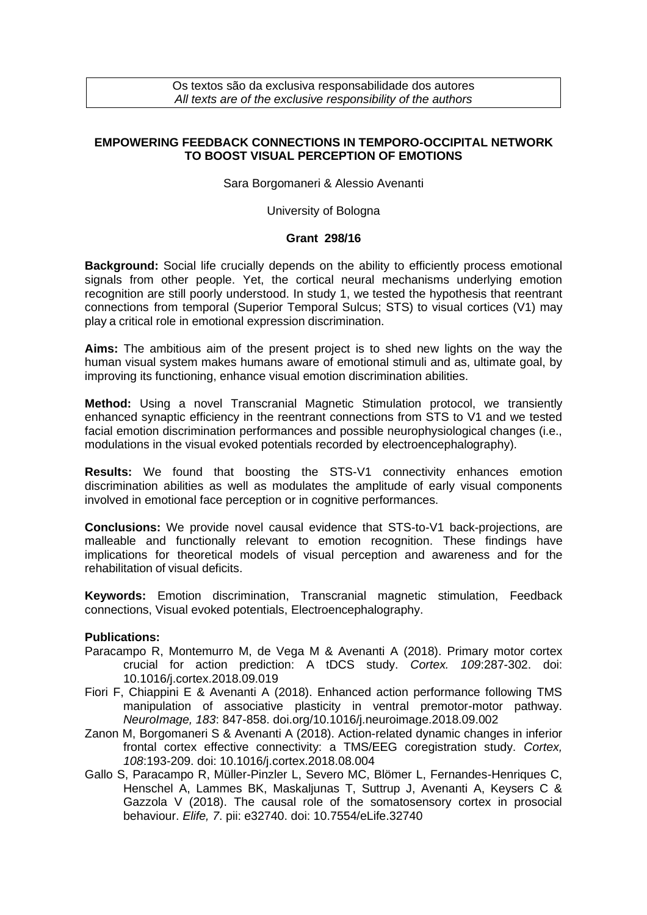Os textos são da exclusiva responsabilidade dos autores *All texts are of the exclusive responsibility of the authors*

## **EMPOWERING FEEDBACK CONNECTIONS IN TEMPORO-OCCIPITAL NETWORK TO BOOST VISUAL PERCEPTION OF EMOTIONS**

Sara Borgomaneri & Alessio Avenanti

University of Bologna

## **Grant 298/16**

**Background:** Social life crucially depends on the ability to efficiently process emotional signals from other people. Yet, the cortical neural mechanisms underlying emotion recognition are still poorly understood. In study 1, we tested the hypothesis that reentrant connections from temporal (Superior Temporal Sulcus; STS) to visual cortices (V1) may play a critical role in emotional expression discrimination.

**Aims:** The ambitious aim of the present project is to shed new lights on the way the human visual system makes humans aware of emotional stimuli and as, ultimate goal, by improving its functioning, enhance visual emotion discrimination abilities.

**Method:** Using a novel Transcranial Magnetic Stimulation protocol, we transiently enhanced synaptic efficiency in the reentrant connections from STS to V1 and we tested facial emotion discrimination performances and possible neurophysiological changes (i.e., modulations in the visual evoked potentials recorded by electroencephalography).

**Results:** We found that boosting the STS-V1 connectivity enhances emotion discrimination abilities as well as modulates the amplitude of early visual components involved in emotional face perception or in cognitive performances.

**Conclusions:** We provide novel causal evidence that STS-to-V1 back-projections, are malleable and functionally relevant to emotion recognition. These findings have implications for theoretical models of visual perception and awareness and for the rehabilitation of visual deficits.

**Keywords:** Emotion discrimination, Transcranial magnetic stimulation, Feedback connections, Visual evoked potentials, Electroencephalography.

## **Publications:**

- Paracampo R, Montemurro M, de Vega M & Avenanti A (2018). Primary motor cortex crucial for action prediction: A tDCS study. *Cortex. 109*:287-302. doi: 10.1016/j.cortex.2018.09.019
- Fiori F, Chiappini E & Avenanti A (2018). Enhanced action performance following TMS manipulation of associative plasticity in ventral premotor-motor pathway. *NeuroImage, 183*: 847-858. doi.org/10.1016/j.neuroimage.2018.09.002
- Zanon M, Borgomaneri S & Avenanti A (2018). Action-related dynamic changes in inferior frontal cortex effective connectivity: a TMS/EEG coregistration study. *Cortex, 108*:193-209. doi: 10.1016/j.cortex.2018.08.004
- Gallo S, Paracampo R, Müller-Pinzler L, Severo MC, Blömer L, Fernandes-Henriques C, Henschel A, Lammes BK, Maskaljunas T, Suttrup J, Avenanti A, Keysers C & Gazzola V (2018). The causal role of the somatosensory cortex in prosocial behaviour. *Elife, 7*. pii: e32740. doi: 10.7554/eLife.32740